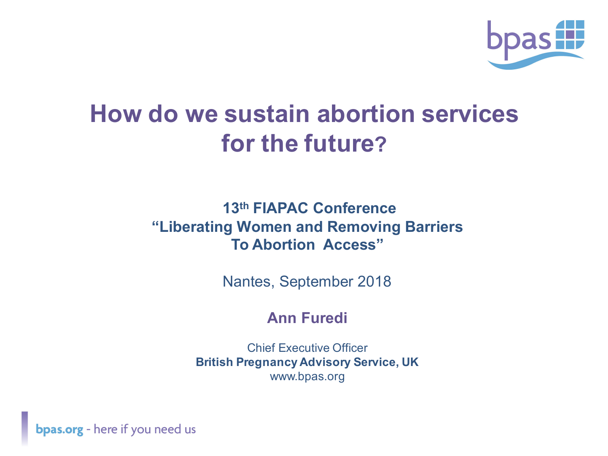

## **How do we sustain abortion services for the future?**

#### **13th FIAPAC Conference "Liberating Women and Removing Barriers To Abortion Access"**

Nantes, September 2018

### **Ann Furedi**

Chief Executive Officer **British Pregnancy Advisory Service, UK** www.bpas.org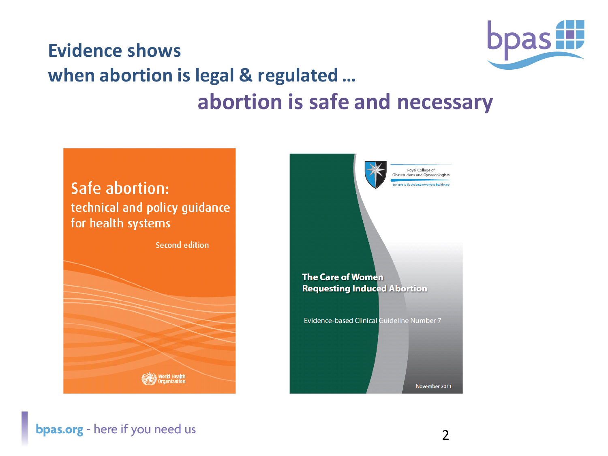

### **Evidence shows when abortion is legal & regulated ...** abortion is safe and necessary

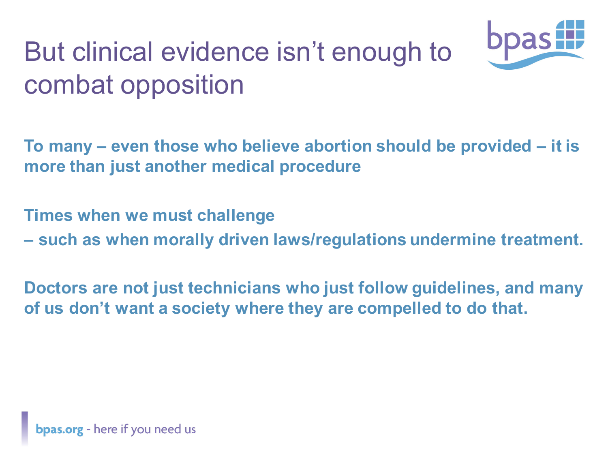# But clinical evidence isn't enough to combat opposition



**To many – even those who believe abortion should be provided – it is more than just another medical procedure**

**Times when we must challenge** 

**– such as when morally driven laws/regulations undermine treatment.**

**Doctors are not just technicians who just follow guidelines, and many of us don't want a society where they are compelled to do that.**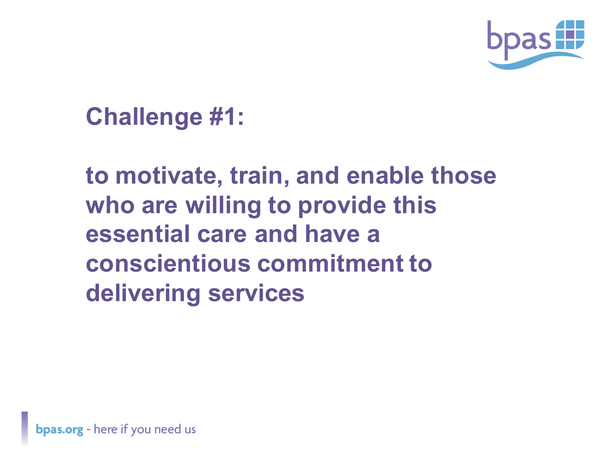

**Challenge #1:** 

**to motivate, train, and enable those who are willing to provide this essential care and have a conscientious commitment to delivering services**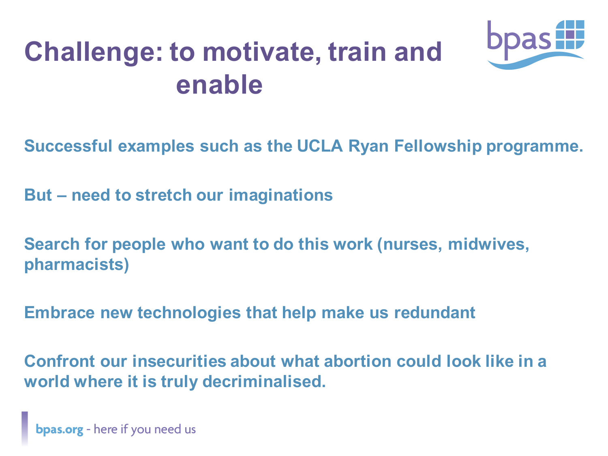## **Challenge: to motivate, train and enable**



**Successful examples such as the UCLA Ryan Fellowship programme.**

**But – need to stretch our imaginations**

**Search for people who want to do this work (nurses, midwives, pharmacists)**

**Embrace new technologies that help make us redundant** 

**Confront our insecurities about what abortion could look like in a world where it is truly decriminalised.**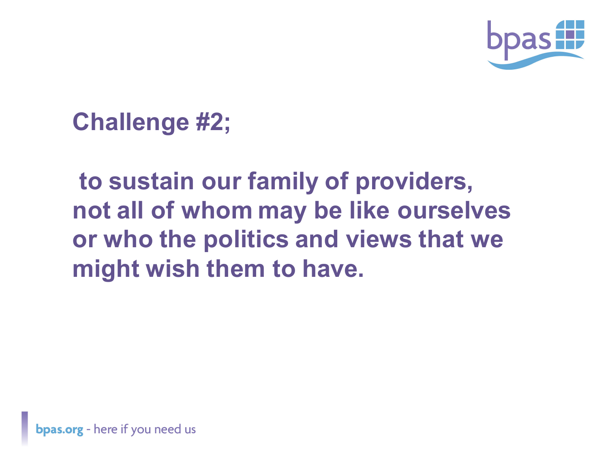

## **Challenge #2;**

## **to sustain our family of providers, not all of whom may be like ourselves or who the politics and views that we might wish them to have.**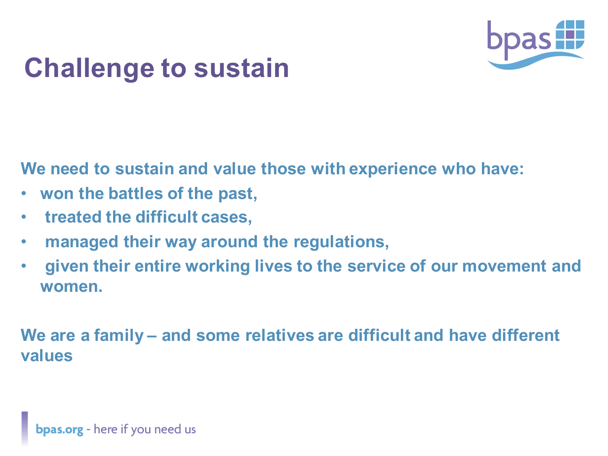

## **Challenge to sustain**

**We need to sustain and value those with experience who have:**

- **won the battles of the past,**
- **treated the difficult cases,**
- **managed their way around the regulations,**
- **given their entire working lives to the service of our movement and women.**

**We are a family – and some relatives are difficult and have different values**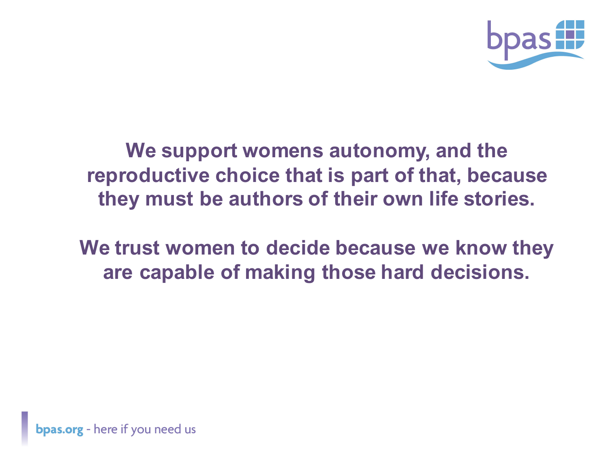

**We support womens autonomy, and the reproductive choice that is part of that, because they must be authors of their own life stories.**

**We trust women to decide because we know they are capable of making those hard decisions.**